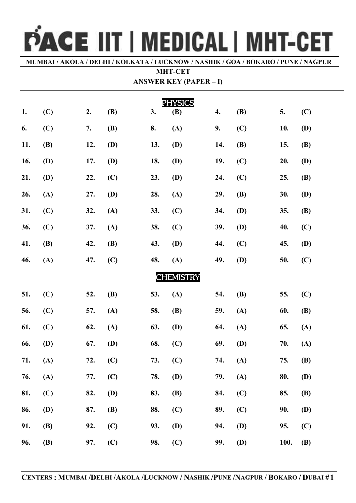## PACE IIT | MEDICAL | MHT-CET

**MUMBAI / AKOLA / DELHI / KOLKATA / LUCKNOW / NASHIK / GOA / BOKARO / PUNE / NAGPUR**

## **MHT-CET ANSWER KEY (PAPER – I)**

| ANSWEK REY (PAPER – I) |            |     |            |     |            |     |            |      |            |  |  |
|------------------------|------------|-----|------------|-----|------------|-----|------------|------|------------|--|--|
| <b>PHYSICS</b>         |            |     |            |     |            |     |            |      |            |  |  |
| 1.                     | (C)        | 2.  | <b>(B)</b> | 3.  | <b>(B)</b> | 4.  | <b>(B)</b> | 5.   | (C)        |  |  |
| 6.                     | (C)        | 7.  | <b>(B)</b> | 8.  | (A)        | 9.  | (C)        | 10.  | <b>(D)</b> |  |  |
| 11.                    | <b>(B)</b> | 12. | <b>(D)</b> | 13. | <b>(D)</b> | 14. | <b>(B)</b> | 15.  | <b>(B)</b> |  |  |
| 16.                    | <b>(D)</b> | 17. | <b>(D)</b> | 18. | <b>(D)</b> | 19. | (C)        | 20.  | <b>(D)</b> |  |  |
| 21.                    | <b>(D)</b> | 22. | (C)        | 23. | <b>(D)</b> | 24. | (C)        | 25.  | <b>(B)</b> |  |  |
| 26.                    | (A)        | 27. | <b>(D)</b> | 28. | (A)        | 29. | <b>(B)</b> | 30.  | <b>(D)</b> |  |  |
| 31.                    | (C)        | 32. | (A)        | 33. | (C)        | 34. | <b>(D)</b> | 35.  | <b>(B)</b> |  |  |
| 36.                    | (C)        | 37. | (A)        | 38. | (C)        | 39. | <b>(D)</b> | 40.  | (C)        |  |  |
| 41.                    | <b>(B)</b> | 42. | <b>(B)</b> | 43. | <b>(D)</b> | 44. | (C)        | 45.  | <b>(D)</b> |  |  |
| 46.                    | (A)        | 47. | (C)        | 48. | (A)        | 49. | <b>(D)</b> | 50.  | (C)        |  |  |
| <b>CHEMISTRY</b>       |            |     |            |     |            |     |            |      |            |  |  |
| 51.                    | (C)        | 52. | <b>(B)</b> | 53. | (A)        | 54. | <b>(B)</b> | 55.  | (C)        |  |  |
| 56.                    | (C)        | 57. | (A)        | 58. | <b>(B)</b> | 59. | (A)        | 60.  | <b>(B)</b> |  |  |
| 61.                    | (C)        | 62. | (A)        | 63. | <b>(D)</b> | 64. | (A)        | 65.  | (A)        |  |  |
| 66.                    | <b>(D)</b> | 67. | <b>(D)</b> | 68. | (C)        | 69. | <b>(D)</b> | 70.  | (A)        |  |  |
| 71.                    | (A)        | 72. | (C)        | 73. | (C)        | 74. | (A)        | 75.  | <b>(B)</b> |  |  |
| 76.                    | (A)        | 77. | (C)        | 78. | <b>(D)</b> | 79. | (A)        | 80.  | <b>(D)</b> |  |  |
| 81.                    | (C)        | 82. | <b>(D)</b> | 83. | <b>(B)</b> | 84. | (C)        | 85.  | <b>(B)</b> |  |  |
| 86.                    | (D)        | 87. | <b>(B)</b> | 88. | (C)        | 89. | (C)        | 90.  | <b>(D)</b> |  |  |
| 91.                    | <b>(B)</b> | 92. | (C)        | 93. | <b>(D)</b> | 94. | <b>(D)</b> | 95.  | (C)        |  |  |
| 96.                    | <b>(B)</b> | 97. | (C)        | 98. | (C)        | 99. | (D)        | 100. | <b>(B)</b> |  |  |